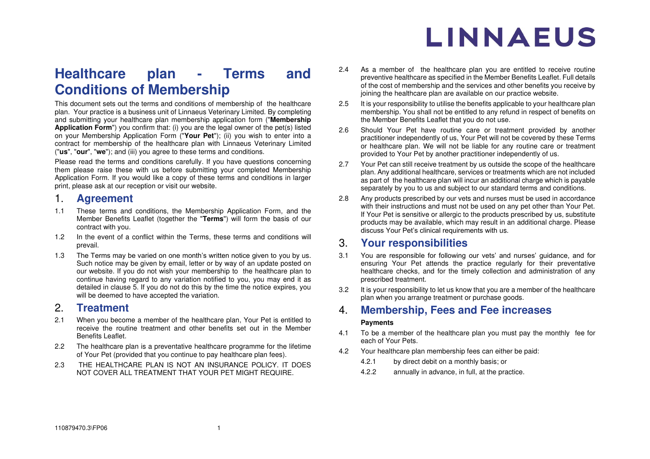## **Healthcare plan - Terms and Conditions of Membership**

This document sets out the terms and conditions of membership of the healthcare plan. Your practice is a business unit of Linnaeus Veterinary Limited. By completing and submitting your healthcare plan membership application form ("**Membership Application Form**") you confirm that: (i) you are the legal owner of the pet(s) listed on your Membership Application Form ("**Your Pet**"); (ii) you wish to enter into a contract for membership of the healthcare plan with Linnaeus Veterinary Limited ("**us**", "**our**", "**we**"); and (iii) you agree to these terms and conditions.

Please read the terms and conditions carefully. If you have questions concerning them please raise these with us before submitting your completed Membership Application Form. If you would like a copy of these terms and conditions in larger print, please ask at our reception or visit our website.

### 1. **Agreement**

- 1.1 These terms and conditions, the Membership Application Form, and the Member Benefits Leaflet (together the "**Terms**") will form the basis of our contract with you.
- 1.2 In the event of a conflict within the Terms, these terms and conditions will prevail.
- 1.3 The Terms may be varied on one month's written notice given to you by us. Such notice may be given by email, letter or by way of an update posted on our website. If you do not wish your membership to the healthcare plan to continue having regard to any variation notified to you, you may end it as detailed in clause [5.](#page-2-0) If you do not do this by the time the notice expires, you will be deemed to have accepted the variation.

## 2. **Treatment**

- 2.1 When you become a member of the healthcare plan, Your Pet is entitled to receive the routine treatment and other benefits set out in the Member Benefits Leaflet.
- 2.2 The healthcare plan is a preventative healthcare programme for the lifetime of Your Pet (provided that you continue to pay healthcare plan fees).
- 2.3 THE HEALTHCARE PLAN IS NOT AN INSURANCE POLICY. IT DOES NOT COVER ALL TREATMENT THAT YOUR PET MIGHT REQUIRE.
- 2.4 As a member of the healthcare plan you are entitled to receive routine preventive healthcare as specified in the Member Benefits Leaflet. Full details of the cost of membership and the services and other benefits you receive by ioining the healthcare plan are available on our practice website.
- 2.5 It is your responsibility to utilise the benefits applicable to your healthcare plan membership. You shall not be entitled to any refund in respect of benefits on the Member Benefits Leaflet that you do not use.
- 2.6 Should Your Pet have routine care or treatment provided by another practitioner independently of us, Your Pet will not be covered by these Terms or healthcare plan. We will not be liable for any routine care or treatment provided to Your Pet by another practitioner independently of us.
- 2.7 Your Pet can still receive treatment by us outside the scope of the healthcare plan. Any additional healthcare, services or treatments which are not included as part of the healthcare plan will incur an additional charge which is payable separately by you to us and subject to our standard terms and conditions.
- 2.8 Any products prescribed by our vets and nurses must be used in accordance with their instructions and must not be used on any pet other than Your Pet. If Your Pet is sensitive or allergic to the products prescribed by us, substitute products may be available, which may result in an additional charge. Please discuss Your Pet's clinical requirements with us.

## 3. **Your responsibilities**

- 3.1 You are responsible for following our vets' and nurses' guidance, and for ensuring Your Pet attends the practice regularly for their preventative healthcare checks, and for the timely collection and administration of any prescribed treatment.
- 3.2 It is your responsibility to let us know that you are a member of the healthcare plan when you arrange treatment or purchase goods.

## 4. **Membership, Fees and Fee increases**

#### **Payments**

- 4.1 To be a member of the healthcare plan you must pay the monthly fee for each of Your Pets.
- <span id="page-0-1"></span><span id="page-0-0"></span>4.2 Your healthcare plan membership fees can either be paid:
	- 4.2.1 by direct debit on a monthly basis; or
	- 4.2.2 annually in advance, in full, at the practice.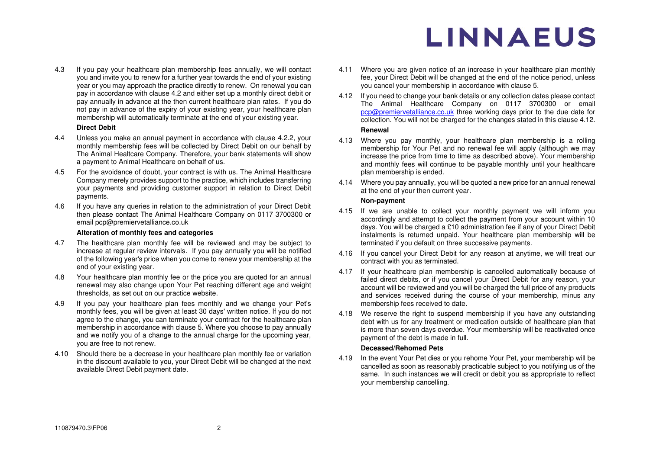4.3 If you pay your healthcare plan membership fees annually, we will contact you and invite you to renew for a further year towards the end of your existing year or you may approach the practice directly to renew. On renewal you can pay in accordance with clause [4.2](#page-0-0) and either set up a monthly direct debit or pay annually in advance at the then current healthcare plan rates. If you do not pay in advance of the expiry of your existing year, your healthcare plan membership will automatically terminate at the end of your existing year.

#### **Direct Debit**

- 4.4 Unless you make an annual payment in accordance with clause [4.2.2,](#page-0-1) your monthly membership fees will be collected by Direct Debit on our behalf by The Animal Healtcare Company. Therefore, your bank statements will show a payment to Animal Healthcare on behalf of us.
- 4.5 For the avoidance of doubt, your contract is with us. The Animal Healthcare Company merely provides support to the practice, which includes transferring your payments and providing customer support in relation to Direct Debit payments.
- 4.6 If you have any queries in relation to the administration of your Direct Debit then please contact The Animal Healthcare Company on 0117 3700300 or email pcp@premiervetalliance.co.uk

#### **Alteration of monthly fees and categories**

- 4.7 The healthcare plan monthly fee will be reviewed and may be subject to increase at regular review intervals. If you pay annually you will be notified of the following year's price when you come to renew your membership at the end of your existing year.
- 4.8 Your healthcare plan monthly fee or the price you are quoted for an annual renewal may also change upon Your Pet reaching different age and weight thresholds, as set out on our practice website.
- 4.9 If you pay your healthcare plan fees monthly and we change your Pet's monthly fees, you will be given at least 30 days' written notice. If you do not agree to the change, you can terminate your contract for the healthcare plan membership in accordance with clause [5.](#page-2-0) Where you choose to pay annually and we notify you of a change to the annual charge for the upcoming year, you are free to not renew.
- 4.10 Should there be a decrease in your healthcare plan monthly fee or variation in the discount available to you, your Direct Debit will be changed at the next available Direct Debit payment date.
- 4.11 Where you are given notice of an increase in your healthcare plan monthly fee, your Direct Debit will be changed at the end of the notice period, unless you cancel your membership in accordance with clause [5.](#page-2-0)
- <span id="page-1-0"></span>4.12 If you need to change your bank details or any collection dates please contact The Animal Healthcare Company on 0117 3700300 or email [pcp@premiervetalliance.co.uk](mailto:pcp@premiervetalliance.co.uk) three working days prior to the due date for collection. You will not be charged for the changes stated in this clause [4.12.](#page-1-0)

#### **Renewal**

- 4.13 Where you pay monthly, your healthcare plan membership is a rolling membership for Your Pet and no renewal fee will apply (although we may increase the price from time to time as described above). Your membership and monthly fees will continue to be payable monthly until your healthcare plan membership is ended.
- 4.14 Where you pay annually, you will be quoted a new price for an annual renewal at the end of your then current year.

#### **Non-payment**

- 4.15 If we are unable to collect your monthly payment we will inform you accordingly and attempt to collect the payment from your account within 10 days. You will be charged a £10 administration fee if any of your Direct Debit instalments is returned unpaid. Your healthcare plan membership will be terminated if you default on three successive payments.
- 4.16 If you cancel your Direct Debit for any reason at anytime, we will treat our contract with you as terminated.
- 4.17 If your healthcare plan membership is cancelled automatically because of failed direct debits, or if you cancel your Direct Debit for any reason, your account will be reviewed and you will be charged the full price of any products and services received during the course of your membership, minus any membership fees received to date.
- 4.18 We reserve the right to suspend membership if you have any outstanding debt with us for any treatment or medication outside of healthcare plan that is more than seven days overdue. Your membership will be reactivated once payment of the debt is made in full.

#### **Deceased/Rehomed Pets**

4.19 In the event Your Pet dies or you rehome Your Pet, your membership will be cancelled as soon as reasonably practicable subject to you notifying us of the same. In such instances we will credit or debit you as appropriate to reflect your membership cancelling.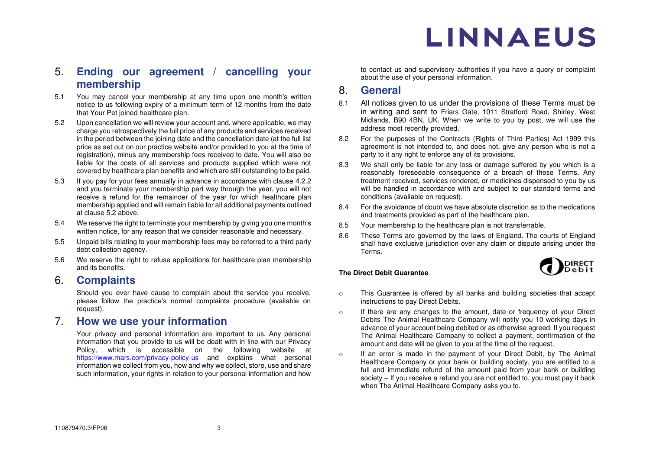## <span id="page-2-0"></span>5. **Ending our agreement / cancelling your membership**

- 5.1 You may cancel your membership at any time upon one month's written notice to us following expiry of a minimum term of 12 months from the date that Your Pet joined healthcare plan.
- <span id="page-2-1"></span>5.2 Upon cancellation we will review your account and, where applicable, we may charge you retrospectively the full price of any products and services received in the period between the joining date and the cancellation date (at the full list price as set out on our practice website and/or provided to you at the time of registration), minus any membership fees received to date. You will also be liable for the costs of all services and products supplied which were not covered by healthcare plan benefits and which are still outstanding to be paid.
- 5.3 If you pay for your fees annually in advance in accordance with clause [4.2.2](#page-0-1)  and you terminate your membership part way through the year, you will not receive a refund for the remainder of the year for which healthcare plan membership applied and will remain liable for all additional payments outlined at clause [5.2 a](#page-2-1)bove.
- 5.4 We reserve the right to terminate your membership by giving you one month's written notice, for any reason that we consider reasonable and necessary.
- 5.5 Unpaid bills relating to your membership fees may be referred to a third party debt collection agency.
- 5.6 We reserve the right to refuse applications for healthcare plan membership and its benefits.

### 6. **Complaints**

Should you ever have cause to complain about the service you receive, please follow the practice's normal complaints procedure (available on request).

### 7. **How we use your information**

Your privacy and personal information are important to us. Any personal information that you provide to us will be dealt with in line with our Privacy Policy, which is accessible on the following website at <https://www.mars.com/privacy-policy-us>and explains what personal information we collect from you, how and why we collect, store, use and share such information, your rights in relation to your personal information and how

to contact us and supervisory authorities if you have a query or complaint about the use of your personal information.

### 8. **General**

- 8.1 All notices given to us under the provisions of these Terms must be in writing and sent to Friars Gate, 1011 Stratford Road, Shirley, West Midlands, B90 4BN, UK. When we write to you by post, we will use the address most recently provided.
- 8.2 For the purposes of the Contracts (Rights of Third Parties) Act 1999 this agreement is not intended to, and does not, give any person who is not a party to it any right to enforce any of its provisions.
- 8.3 We shall only be liable for any loss or damage suffered by you which is a reasonably foreseeable consequence of a breach of these Terms. Any treatment received, services rendered, or medicines dispensed to you by us will be handled in accordance with and subject to our standard terms and conditions (available on request).
- 8.4 For the avoidance of doubt we have absolute discretion as to the medications and treatments provided as part of the healthcare plan.
- 8.5 Your membership to the healthcare plan is not transferrable.
- 8.6 These Terms are governed by the laws of England. The courts of England shall have exclusive jurisdiction over any claim or dispute arising under the Terms.



#### **The Direct Debit Guarantee**

- o This Guarantee is offered by all banks and building societies that accept instructions to pay Direct Debits.
- o If there are any changes to the amount, date or frequency of your Direct Debits The Animal Healthcare Company will notify you 10 working days in advance of your account being debited or as otherwise agreed. If you request The Animal Healthcare Company to collect a payment, confirmation of the amount and date will be given to you at the time of the request.
- o If an error is made in the payment of your Direct Debit, by The Animal Healthcare Company or your bank or building society, you are entitled to a full and immediate refund of the amount paid from your bank or building society – If you receive a refund you are not entitled to, you must pay it back when The Animal Healthcare Company asks you to.